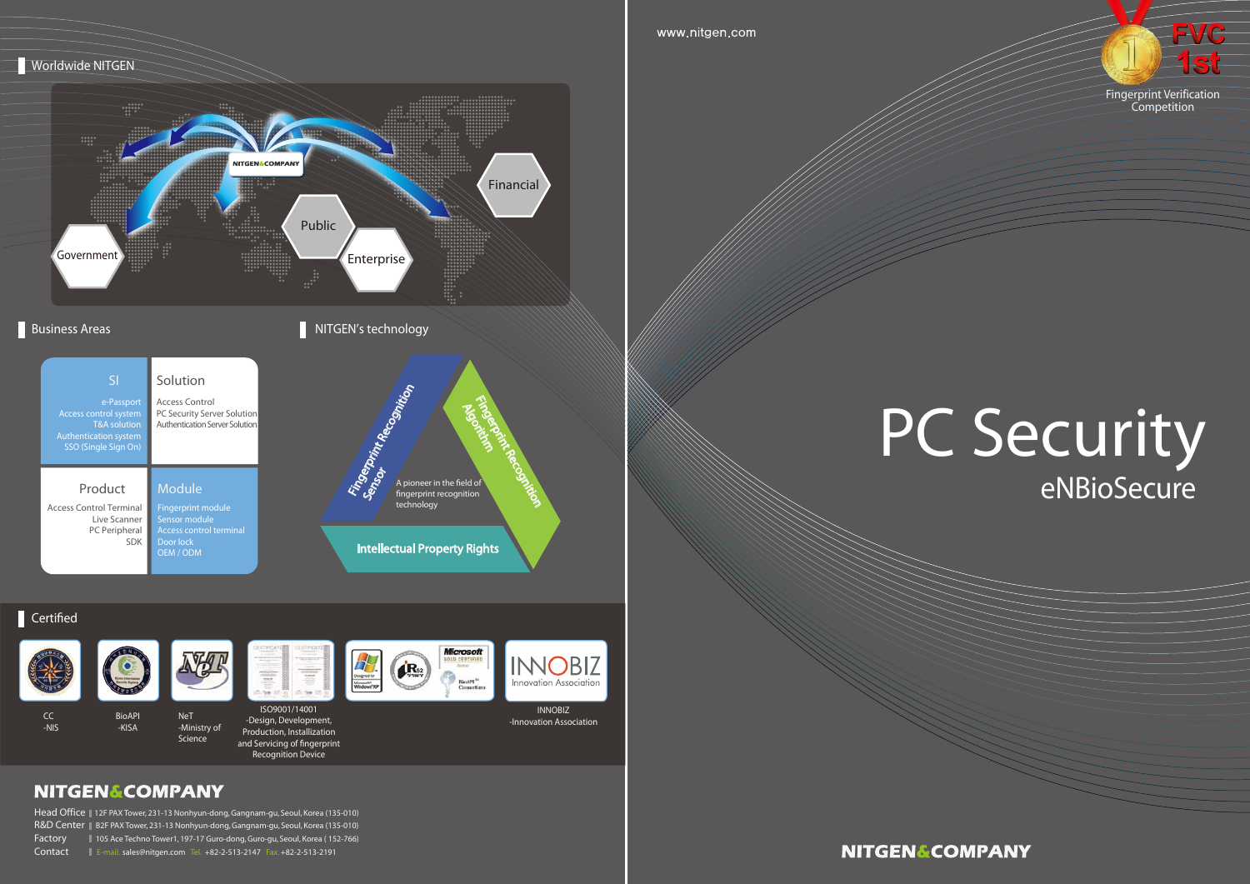CC -NIS











BioAPI NeT

-KISA

-Ministry of Science



Head Office || 12F PAX Tower, 231-13 Nonhyun-dong, Gangnam-gu, Seoul, Korea (135-010) R&D Center || B2F PAX Tower, 231-13 Nonhyun-dong, Gangnam-gu, Seoul, Korea (135-010) Factory 105 Ace Techno Tower1, 197-17 Guro-dong, Guro-gu, Seoul, Korea ( 152-766) Contact E-mail. sales@nitgen.com Tel. +82-2-513-2147 Fax. +82-2-513-2191

### **NITGEN&COMPANY**



Production, Installization and Servicing of fingerprint Recognition Device



**INOBIZ** nnovation Association

> INNOBIZ -Innovation Association

**NITGEN&COMPANY** 

www.nitgen.com



#### Certified



Fingerprint Verification Competition

## PC Security eNBioSecure